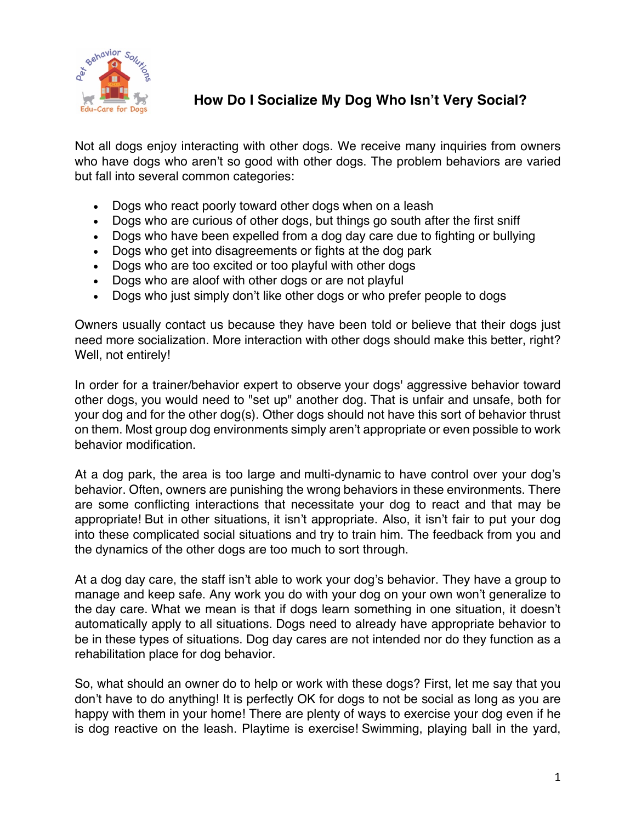

## **How Do I Socialize My Dog Who Isn't Very Social?**

Not all dogs enjoy interacting with other dogs. We receive many inquiries from owners who have dogs who aren't so good with other dogs. The problem behaviors are varied but fall into several common categories:

- Dogs who react poorly toward other dogs when on a leash
- Dogs who are curious of other dogs, but things go south after the first sniff
- Dogs who have been expelled from a dog day care due to fighting or bullying
- Dogs who get into disagreements or fights at the dog park
- Dogs who are too excited or too playful with other dogs
- Dogs who are aloof with other dogs or are not playful
- Dogs who just simply don't like other dogs or who prefer people to dogs

Owners usually contact us because they have been told or believe that their dogs just need more socialization. More interaction with other dogs should make this better, right? Well, not entirely!

In order for a trainer/behavior expert to observe your dogs' aggressive behavior toward other dogs, you would need to "set up" another dog. That is unfair and unsafe, both for your dog and for the other dog(s). Other dogs should not have this sort of behavior thrust on them. Most group dog environments simply aren't appropriate or even possible to work behavior modification.

At a dog park, the area is too large and multi-dynamic to have control over your dog's behavior. Often, owners are punishing the wrong behaviors in these environments. There are some conflicting interactions that necessitate your dog to react and that may be appropriate! But in other situations, it isn't appropriate. Also, it isn't fair to put your dog into these complicated social situations and try to train him. The feedback from you and the dynamics of the other dogs are too much to sort through.

At a dog day care, the staff isn't able to work your dog's behavior. They have a group to manage and keep safe. Any work you do with your dog on your own won't generalize to the day care. What we mean is that if dogs learn something in one situation, it doesn't automatically apply to all situations. Dogs need to already have appropriate behavior to be in these types of situations. Dog day cares are not intended nor do they function as a rehabilitation place for dog behavior.

So, what should an owner do to help or work with these dogs? First, let me say that you don't have to do anything! It is perfectly OK for dogs to not be social as long as you are happy with them in your home! There are plenty of ways to exercise your dog even if he is dog reactive on the leash. Playtime is exercise! Swimming, playing ball in the yard,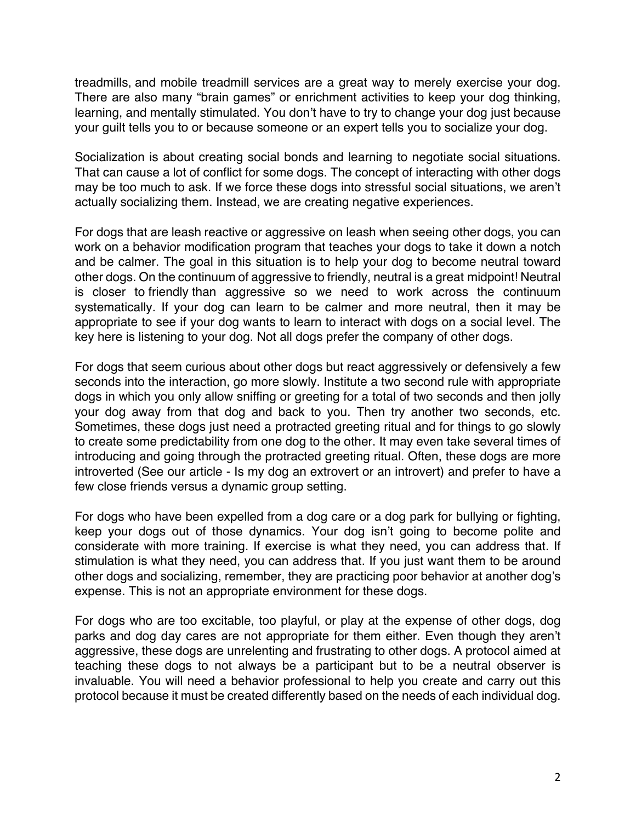treadmills, and mobile treadmill services are a great way to merely exercise your dog. There are also many "brain games" or enrichment activities to keep your dog thinking, learning, and mentally stimulated. You don't have to try to change your dog just because your guilt tells you to or because someone or an expert tells you to socialize your dog.

Socialization is about creating social bonds and learning to negotiate social situations. That can cause a lot of conflict for some dogs. The concept of interacting with other dogs may be too much to ask. If we force these dogs into stressful social situations, we aren't actually socializing them. Instead, we are creating negative experiences.

For dogs that are leash reactive or aggressive on leash when seeing other dogs, you can work on a behavior modification program that teaches your dogs to take it down a notch and be calmer. The goal in this situation is to help your dog to become neutral toward other dogs. On the continuum of aggressive to friendly, neutral is a great midpoint! Neutral is closer to friendly than aggressive so we need to work across the continuum systematically. If your dog can learn to be calmer and more neutral, then it may be appropriate to see if your dog wants to learn to interact with dogs on a social level. The key here is listening to your dog. Not all dogs prefer the company of other dogs.

For dogs that seem curious about other dogs but react aggressively or defensively a few seconds into the interaction, go more slowly. Institute a two second rule with appropriate dogs in which you only allow sniffing or greeting for a total of two seconds and then jolly your dog away from that dog and back to you. Then try another two seconds, etc. Sometimes, these dogs just need a protracted greeting ritual and for things to go slowly to create some predictability from one dog to the other. It may even take several times of introducing and going through the protracted greeting ritual. Often, these dogs are more introverted (See our article - Is my dog an extrovert or an introvert) and prefer to have a few close friends versus a dynamic group setting.

For dogs who have been expelled from a dog care or a dog park for bullying or fighting, keep your dogs out of those dynamics. Your dog isn't going to become polite and considerate with more training. If exercise is what they need, you can address that. If stimulation is what they need, you can address that. If you just want them to be around other dogs and socializing, remember, they are practicing poor behavior at another dog's expense. This is not an appropriate environment for these dogs.

For dogs who are too excitable, too playful, or play at the expense of other dogs, dog parks and dog day cares are not appropriate for them either. Even though they aren't aggressive, these dogs are unrelenting and frustrating to other dogs. A protocol aimed at teaching these dogs to not always be a participant but to be a neutral observer is invaluable. You will need a behavior professional to help you create and carry out this protocol because it must be created differently based on the needs of each individual dog.